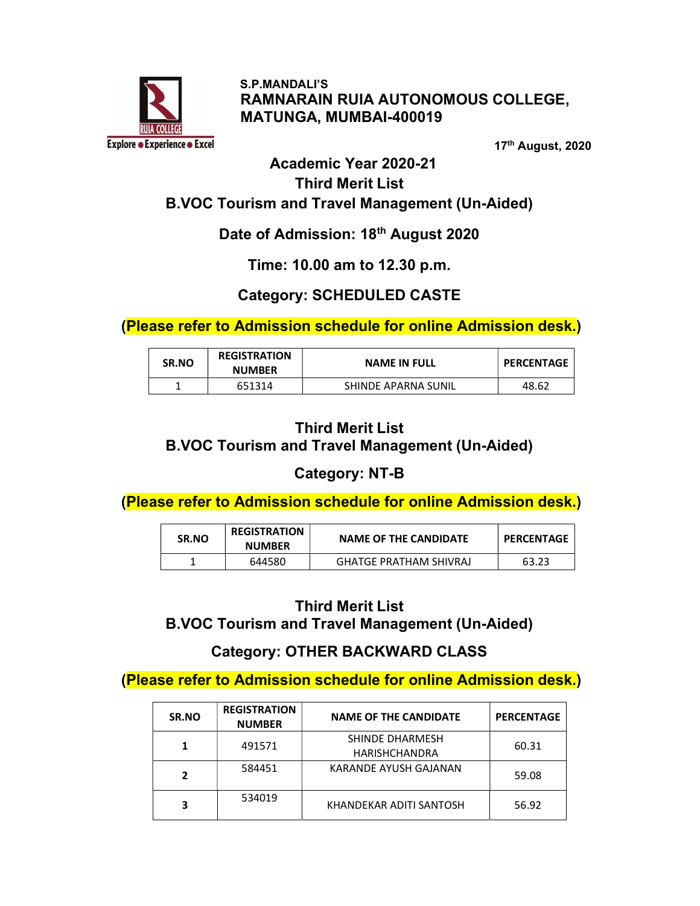

 S.P.MANDALI'S RAMNARAIN RUIA AUTONOMOUS COLLEGE, MATUNGA, MUMBAI-400019

17th August, 2020

## Academic Year 2020-21 Third Merit List B.VOC Tourism and Travel Management (Un-Aided)

# Date of Admission: 18<sup>th</sup> August 2020

#### Time: 10.00 am to 12.30 p.m.

# Category: SCHEDULED CASTE

(Please refer to Admission schedule for online Admission desk.)

| <b>SR.NO</b> | <b>REGISTRATION</b><br><b>NUMBER</b> | <b>NAME IN FULL</b> | <b>PERCENTAGE</b> |
|--------------|--------------------------------------|---------------------|-------------------|
|              | 651314                               | SHINDE APARNA SUNIL | 48.62             |

# Third Merit List B.VOC Tourism and Travel Management (Un-Aided)

# Category: NT-B

(Please refer to Admission schedule for online Admission desk.)

| SR.NO | <b>REGISTRATION</b><br><b>NUMBER</b> | <b>NAME OF THE CANDIDATE</b>  | <b>PERCENTAGE</b> |
|-------|--------------------------------------|-------------------------------|-------------------|
|       | 644580                               | <b>GHATGE PRATHAM SHIVRAJ</b> | 63.23             |

# Third Merit List B.VOC Tourism and Travel Management (Un-Aided)

# Category: OTHER BACKWARD CLASS

(Please refer to Admission schedule for online Admission desk.)

| SR.NO | <b>REGISTRATION</b><br><b>NUMBER</b> | <b>NAME OF THE CANDIDATE</b>            | <b>PERCENTAGE</b> |
|-------|--------------------------------------|-----------------------------------------|-------------------|
|       | 491571                               | SHINDE DHARMESH<br><b>HARISHCHANDRA</b> | 60.31             |
|       | 584451                               | KARANDE AYUSH GAJANAN                   | 59.08             |
|       | 534019                               | KHANDEKAR ADITI SANTOSH                 | 56.92             |